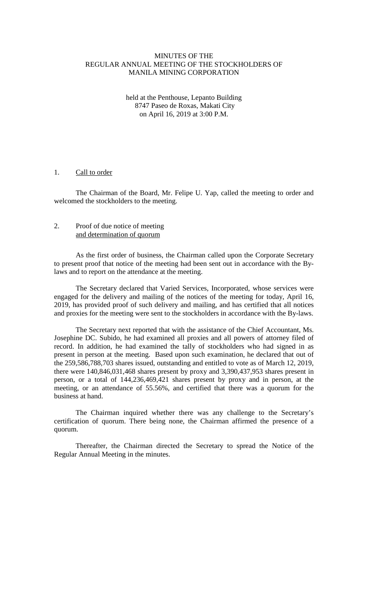# MINUTES OF THE REGULAR ANNUAL MEETING OF THE STOCKHOLDERS OF MANILA MINING CORPORATION

### held at the Penthouse, Lepanto Building 8747 Paseo de Roxas, Makati City on April 16, 2019 at 3:00 P.M.

## 1. Call to order

The Chairman of the Board, Mr. Felipe U. Yap, called the meeting to order and welcomed the stockholders to the meeting.

### 2. Proof of due notice of meeting and determination of quorum

As the first order of business, the Chairman called upon the Corporate Secretary to present proof that notice of the meeting had been sent out in accordance with the Bylaws and to report on the attendance at the meeting.

The Secretary declared that Varied Services, Incorporated, whose services were engaged for the delivery and mailing of the notices of the meeting for today, April 16, 2019, has provided proof of such delivery and mailing, and has certified that all notices and proxies for the meeting were sent to the stockholders in accordance with the By-laws.

The Secretary next reported that with the assistance of the Chief Accountant, Ms. Josephine DC. Subido, he had examined all proxies and all powers of attorney filed of record. In addition, he had examined the tally of stockholders who had signed in as present in person at the meeting. Based upon such examination, he declared that out of the 259,586,788,703 shares issued, outstanding and entitled to vote as of March 12, 2019, there were 140,846,031,468 shares present by proxy and 3,390,437,953 shares present in person, or a total of 144,236,469,421 shares present by proxy and in person, at the meeting, or an attendance of 55.56%, and certified that there was a quorum for the business at hand.

The Chairman inquired whether there was any challenge to the Secretary's certification of quorum. There being none, the Chairman affirmed the presence of a quorum.

Thereafter, the Chairman directed the Secretary to spread the Notice of the Regular Annual Meeting in the minutes.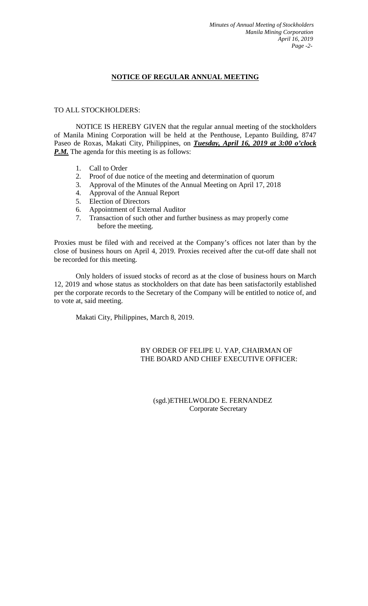# **NOTICE OF REGULAR ANNUAL MEETING**

# TO ALL STOCKHOLDERS:

NOTICE IS HEREBY GIVEN that the regular annual meeting of the stockholders of Manila Mining Corporation will be held at the Penthouse, Lepanto Building, 8747 Paseo de Roxas, Makati City, Philippines, on *Tuesday, April 16, 2019 at 3:00 o'clock P.M.* The agenda for this meeting is as follows:

- 1. Call to Order
- 2. Proof of due notice of the meeting and determination of quorum
- 3. Approval of the Minutes of the Annual Meeting on April 17, 2018
- 4. Approval of the Annual Report<br>5. Election of Directors
- Election of Directors
- 6. Appointment of External Auditor
- 7. Transaction of such other and further business as may properly come before the meeting.

Proxies must be filed with and received at the Company's offices not later than by the close of business hours on April 4, 2019. Proxies received after the cut-off date shall not be recorded for this meeting.

Only holders of issued stocks of record as at the close of business hours on March 12, 2019 and whose status as stockholders on that date has been satisfactorily established per the corporate records to the Secretary of the Company will be entitled to notice of, and to vote at, said meeting.

Makati City, Philippines, March 8, 2019.

# BY ORDER OF FELIPE U. YAP, CHAIRMAN OF THE BOARD AND CHIEF EXECUTIVE OFFICER:

# (sgd.)ETHELWOLDO E. FERNANDEZ Corporate Secretary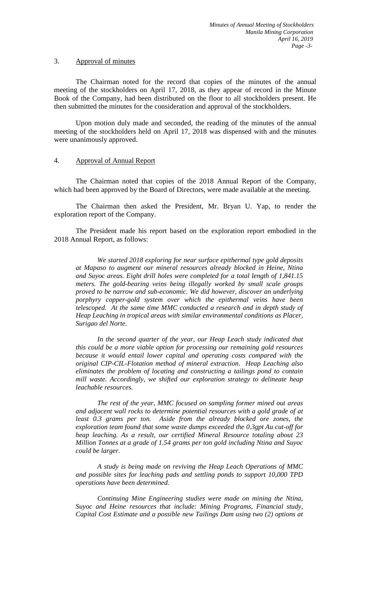### 3. Approval of minutes

The Chairman noted for the record that copies of the minutes of the annual meeting of the stockholders on April 17, 2018, as they appear of record in the Minute Book of the Company, had been distributed on the floor to all stockholders present. He then submitted the minutes for the consideration and approval of the stockholders.

Upon motion duly made and seconded, the reading of the minutes of the annual meeting of the stockholders held on April 17, 2018 was dispensed with and the minutes were unanimously approved.

# 4. Approval of Annual Report

The Chairman noted that copies of the 2018 Annual Report of the Company, which had been approved by the Board of Directors, were made available at the meeting.

The Chairman then asked the President, Mr. Bryan U. Yap, to render the exploration report of the Company.

The President made his report based on the exploration report embodied in the 2018 Annual Report, as follows:

*We started 2018 exploring for near surface epithermal type gold deposits at Mapaso to augment our mineral resources already blocked in Heine, Ntina and Suyoc areas. Eight drill holes were completed for a total length of 1,841.15 meters. The gold-bearing veins being illegally worked by small scale groups proved to be narrow and sub-economic. We did however, discover an underlying porphyry copper-gold system over which the epithermal veins have been telescoped. At the same time MMC conducted a research and in depth study of Heap Leaching in tropical areas with similar environmental conditions as Placer, Surigao del Norte.*

*In the second quarter of the year, our Heap Leach study indicated that this could be a more viable option for processing our remaining gold resources because it would entail lower capital and operating costs compared with the original CIP-CIL-Flotation method of mineral extraction. Heap Leaching also eliminates the problem of locating and constructing a tailings pond to contain mill waste. Accordingly, we shifted our exploration strategy to delineate heap leachable resources.* 

*The rest of the year, MMC focused on sampling former mined out areas and adjacent wall rocks to determine potential resources with a gold grade of at least 0.3 grams per ton. Aside from the already blocked ore zones, the exploration team found that some waste dumps exceeded the 0.3gpt Au cut-off for heap leaching. As a result, our certified Mineral Resource totaling about 23 Million Tonnes at a grade of 1.54 grams per ton gold including Ntina and Suyoc could be larger.* 

*A study is being made on reviving the Heap Leach Operations of MMC and possible sites for leaching pads and settling ponds to support 10,000 TPD operations have been determined.* 

*Continuing Mine Engineering studies were made on mining the Ntina, Suyoc and Heine resources that include: Mining Programs, Financial study, Capital Cost Estimate and a possible new Tailings Dam using two (2) options at*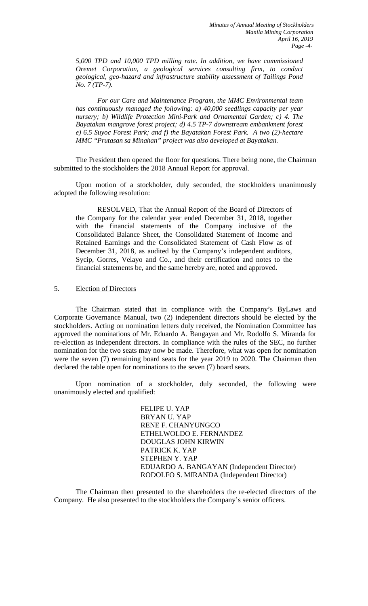*5,000 TPD and 10,000 TPD milling rate. In addition, we have commissioned Oremet Corporation, a geological services consulting firm, to conduct geological, geo-hazard and infrastructure stability assessment of Tailings Pond No. 7 (TP-7).* 

*For our Care and Maintenance Program, the MMC Environmental team has continuously managed the following: a) 40,000 seedlings capacity per year nursery; b) Wildlife Protection Mini-Park and Ornamental Garden; c) 4. The Bayatakan mangrove forest project; d) 4.5 TP-7 downstream embankment forest e) 6.5 Suyoc Forest Park; and f) the Bayatakan Forest Park. A two (2)-hectare MMC "Prutasan sa Minahan" project was also developed at Bayatakan.* 

The President then opened the floor for questions. There being none, the Chairman submitted to the stockholders the 2018 Annual Report for approval.

Upon motion of a stockholder, duly seconded, the stockholders unanimously adopted the following resolution:

RESOLVED, That the Annual Report of the Board of Directors of the Company for the calendar year ended December 31, 2018, together with the financial statements of the Company inclusive of the Consolidated Balance Sheet, the Consolidated Statement of Income and Retained Earnings and the Consolidated Statement of Cash Flow as of December 31, 2018, as audited by the Company's independent auditors, Sycip, Gorres, Velayo and Co., and their certification and notes to the financial statements be, and the same hereby are, noted and approved.

## 5. Election of Directors

The Chairman stated that in compliance with the Company's ByLaws and Corporate Governance Manual, two (2) independent directors should be elected by the stockholders. Acting on nomination letters duly received, the Nomination Committee has approved the nominations of Mr. Eduardo A. Bangayan and Mr. Rodolfo S. Miranda for re-election as independent directors. In compliance with the rules of the SEC, no further nomination for the two seats may now be made. Therefore, what was open for nomination were the seven (7) remaining board seats for the year 2019 to 2020. The Chairman then declared the table open for nominations to the seven (7) board seats.

Upon nomination of a stockholder, duly seconded, the following were unanimously elected and qualified:

> FELIPE U. YAP BRYAN U. YAP RENE F. CHANYUNGCO ETHELWOLDO E. FERNANDEZ DOUGLAS JOHN KIRWIN PATRICK K. YAP STEPHEN Y. YAP EDUARDO A. BANGAYAN (Independent Director) RODOLFO S. MIRANDA (Independent Director)

The Chairman then presented to the shareholders the re-elected directors of the Company. He also presented to the stockholders the Company's senior officers.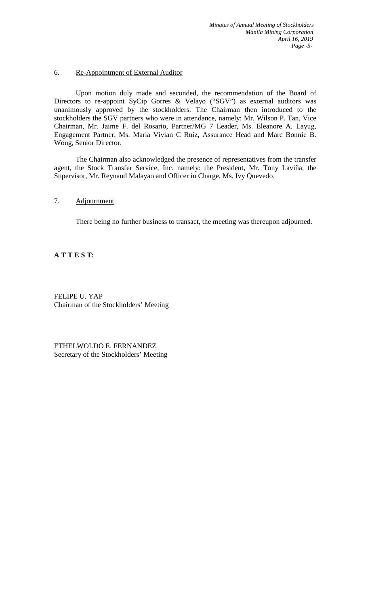# 6. Re-Appointment of External Auditor

Upon motion duly made and seconded, the recommendation of the Board of Directors to re-appoint SyCip Gorres & Velayo ("SGV") as external auditors was unanimously approved by the stockholders. The Chairman then introduced to the stockholders the SGV partners who were in attendance, namely: Mr. Wilson P. Tan, Vice Chairman, Mr. Jaime F. del Rosario, Partner/MG 7 Leader, Ms. Eleanore A. Layug, Engagement Partner, Ms. Maria Vivian C Ruiz, Assurance Head and Marc Bonnie B. Wong, Senior Director.

The Chairman also acknowledged the presence of representatives from the transfer agent, the Stock Transfer Service, Inc. namely: the President, Mr. Tony Laviña, the Supervisor, Mr. Reynand Malayao and Officer in Charge, Ms. Ivy Quevedo.

# 7. Adjournment

There being no further business to transact, the meeting was thereupon adjourned.

**A T T E S T:**

FELIPE U. YAP Chairman of the Stockholders' Meeting

ETHELWOLDO E. FERNANDEZ Secretary of the Stockholders' Meeting